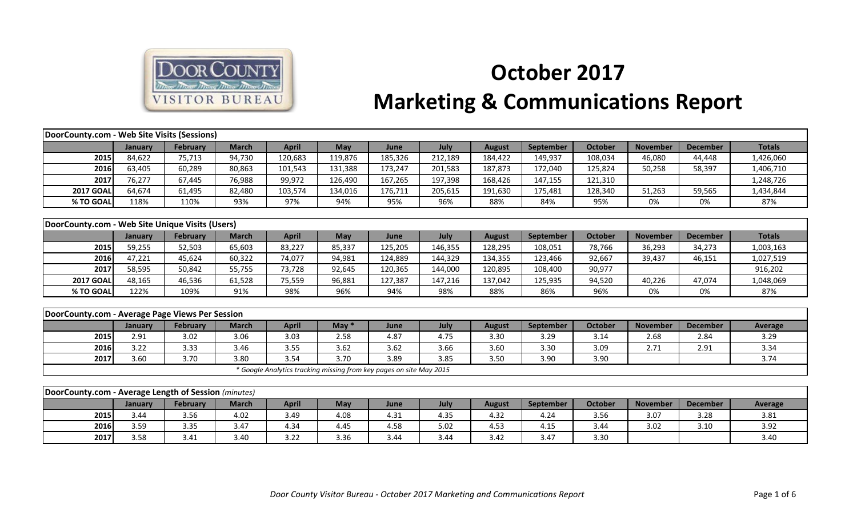

## **October 2017 Marketing & Communications Report**

| DoorCounty.com - Web Site Visits (Sessions)          |         |                 |              |                                                                     |         |         |         |               |                  |                |                 |                 |                |
|------------------------------------------------------|---------|-----------------|--------------|---------------------------------------------------------------------|---------|---------|---------|---------------|------------------|----------------|-----------------|-----------------|----------------|
|                                                      | January | <b>February</b> | <b>March</b> | <b>April</b>                                                        | May     | June    | July    | <b>August</b> | September        | <b>October</b> | <b>November</b> | <b>December</b> | <b>Totals</b>  |
| 2015                                                 | 84,622  | 75,713          | 94,730       | 120,683                                                             | 119,876 | 185,326 | 212,189 | 184,422       | 149,937          | 108,034        | 46,080          | 44,448          | 1,426,060      |
| 2016                                                 | 63,405  | 60,289          | 80,863       | 101,543                                                             | 131,388 | 173,247 | 201,583 | 187,873       | 172,040          | 125,824        | 50,258          | 58,397          | 1,406,710      |
| 2017                                                 | 76,277  | 67,445          | 76,988       | 99,972                                                              | 126,490 | 167,265 | 197,398 | 168,426       | 147,155          | 121,310        |                 |                 | 1,248,726      |
| <b>2017 GOAL</b>                                     | 64,674  | 61,495          | 82,480       | 103,574                                                             | 134,016 | 176,711 | 205,615 | 191,630       | 175,481          | 128,340        | 51,263          | 59,565          | 1,434,844      |
| % TO GOAL                                            | 118%    | 110%            | 93%          | 97%                                                                 | 94%     | 95%     | 96%     | 88%           | 84%              | 95%            | 0%              | 0%              | 87%            |
|                                                      |         |                 |              |                                                                     |         |         |         |               |                  |                |                 |                 |                |
| DoorCounty.com - Web Site Unique Visits (Users)      |         |                 |              |                                                                     |         |         |         |               |                  |                |                 |                 |                |
|                                                      | January | <b>February</b> | <b>March</b> | <b>April</b>                                                        | May     | June    | July    | <b>August</b> | <b>September</b> | <b>October</b> | <b>November</b> | <b>December</b> | <b>Totals</b>  |
| 2015                                                 | 59,255  | 52,503          | 65,603       | 83,227                                                              | 85,337  | 125,205 | 146,355 | 128,295       | 108,051          | 78,766         | 36,293          | 34,273          | 1,003,163      |
| 2016                                                 | 47,221  | 45,624          | 60,322       | 74,077                                                              | 94,981  | 124,889 | 144,329 | 134,355       | 123,466          | 92,667         | 39,437          | 46,151          | 1,027,519      |
| 2017                                                 | 58,595  | 50,842          | 55,755       | 73,728                                                              | 92,645  | 120,365 | 144,000 | 120,895       | 108,400          | 90,977         |                 |                 | 916,202        |
| <b>2017 GOAL</b>                                     | 48,165  | 46,536          | 61,528       | 75,559                                                              | 96,881  | 127,387 | 147,216 | 137,042       | 125,935          | 94,520         | 40,226          | 47,074          | 1,048,069      |
| % TO GOAL                                            | 122%    | 109%            | 91%          | 98%                                                                 | 96%     | 94%     | 98%     | 88%           | 86%              | 96%            | 0%              | 0%              | 87%            |
|                                                      |         |                 |              |                                                                     |         |         |         |               |                  |                |                 |                 |                |
| DoorCounty.com - Average Page Views Per Session      |         |                 |              |                                                                     |         |         |         |               |                  |                |                 |                 |                |
|                                                      | January | <b>February</b> | <b>March</b> | <b>April</b>                                                        | May $*$ | June    | July    | <b>August</b> | September        | <b>October</b> | <b>November</b> | <b>December</b> | <b>Average</b> |
| 2015                                                 | 2.91    | 3.02            | 3.06         | 3.03                                                                | 2.58    | 4.87    | 4.75    | 3.30          | 3.29             | 3.14           | 2.68            | 2.84            | 3.29           |
| 2016                                                 | 3.22    | 3.33            | 3.46         | 3.55                                                                | 3.62    | 3.62    | 3.66    | 3.60          | 3.30             | 3.09           | 2.71            | 2.91            | 3.34           |
| 2017                                                 | 3.60    | 3.70            | 3.80         | 3.54                                                                | 3.70    | 3.89    | 3.85    | 3.50          | 3.90             | 3.90           |                 |                 | 3.74           |
|                                                      |         |                 |              | * Google Analytics tracking missing from key pages on site May 2015 |         |         |         |               |                  |                |                 |                 |                |
|                                                      |         |                 |              |                                                                     |         |         |         |               |                  |                |                 |                 |                |
| DoorCounty.com - Average Length of Session (minutes) |         |                 |              |                                                                     |         |         |         |               |                  |                |                 |                 |                |
|                                                      | January | <b>February</b> | <b>March</b> | <b>April</b>                                                        | May     | June    | July    | <b>August</b> | September        | <b>October</b> | <b>November</b> | <b>December</b> | <b>Average</b> |
| 2015                                                 | 3.44    | 3.56            | 4.02         | 3.49                                                                | 4.08    | 4.31    | 4.35    | 4.32          | 4.24             | 3.56           | 3.07            | 3.28            | 3.81           |
| 2016                                                 | 3.59    | 3.35            | 3.47         | 4.34                                                                | 4.45    | 4.58    | 5.02    | 4.53          | 4.15             | 3.44           | 3.02            | 3.10            | 3.92           |
| 2017                                                 | 3.58    | 3.41            | 3.40         | 3.22                                                                | 3.36    | 3.44    | 3.44    | 3.42          | 3.47             | 3.30           |                 |                 | 3.40           |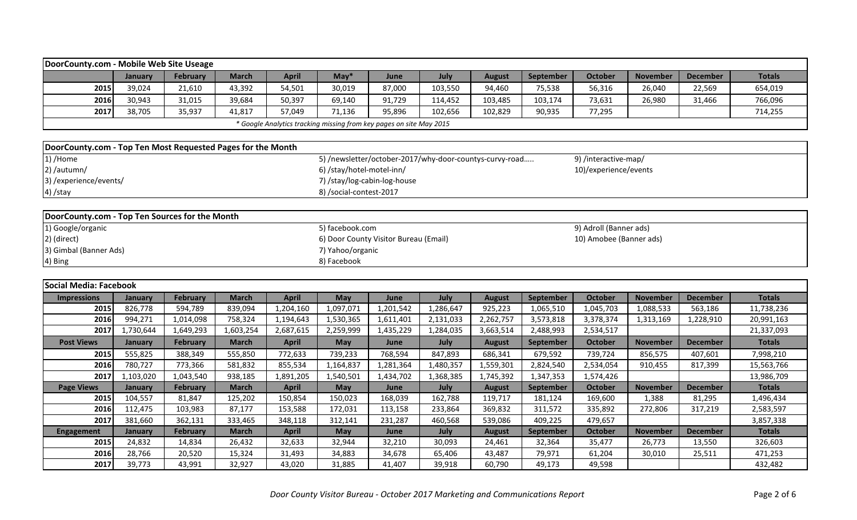| DoorCounty.com - Mobile Web Site Useage                     |           |                 |              |              |                           |                                                                     |           |               |                  |                         |                 |                 |               |
|-------------------------------------------------------------|-----------|-----------------|--------------|--------------|---------------------------|---------------------------------------------------------------------|-----------|---------------|------------------|-------------------------|-----------------|-----------------|---------------|
|                                                             | January   | February        | <b>March</b> | <b>April</b> | $May*$                    | June                                                                | July      | <b>August</b> | September        | <b>October</b>          | <b>November</b> | <b>December</b> | <b>Totals</b> |
| 2015                                                        | 39,024    | 21,610          | 43,392       | 54,501       | 30,019                    | 87,000                                                              | 103,550   | 94,460        | 75,538           | 56,316                  | 26,040          | 22,569          | 654,019       |
| 2016                                                        | 30,943    | 31,015          | 39,684       | 50,397       | 69,140                    | 91,729                                                              | 114,452   | 103,485       | 103,174          | 73,631                  | 26,980          | 31,466          | 766,096       |
| 2017                                                        | 38,705    | 35,937          | 41,817       | 57,049       | 71,136                    | 95,896                                                              | 102,656   | 102,829       | 90,935           | 77,295                  |                 |                 | 714,255       |
|                                                             |           |                 |              |              |                           | * Google Analytics tracking missing from key pages on site May 2015 |           |               |                  |                         |                 |                 |               |
|                                                             |           |                 |              |              |                           |                                                                     |           |               |                  |                         |                 |                 |               |
| DoorCounty.com - Top Ten Most Requested Pages for the Month |           |                 |              |              |                           |                                                                     |           |               |                  |                         |                 |                 |               |
| 1) /Home                                                    |           |                 |              |              |                           | 5) /newsletter/october-2017/why-door-countys-curvy-road             |           |               |                  | 9) /interactive-map/    |                 |                 |               |
| 2) /autumn/                                                 |           |                 |              |              | 6) /stay/hotel-motel-inn/ |                                                                     |           |               |                  | 10)/experience/events   |                 |                 |               |
| 3) /experience/events/                                      |           |                 |              |              |                           | 7) /stay/log-cabin-log-house                                        |           |               |                  |                         |                 |                 |               |
| 4) /stay                                                    |           |                 |              |              | 8) /social-contest-2017   |                                                                     |           |               |                  |                         |                 |                 |               |
|                                                             |           |                 |              |              |                           |                                                                     |           |               |                  |                         |                 |                 |               |
| DoorCounty.com - Top Ten Sources for the Month              |           |                 |              |              |                           |                                                                     |           |               |                  |                         |                 |                 |               |
| 1) Google/organic                                           |           |                 |              |              | 5) facebook.com           |                                                                     |           |               |                  | 9) Adroll (Banner ads)  |                 |                 |               |
| 2) (direct)                                                 |           |                 |              |              |                           | 6) Door County Visitor Bureau (Email)                               |           |               |                  | 10) Amobee (Banner ads) |                 |                 |               |
| 3) Gimbal (Banner Ads)                                      |           |                 |              |              | 7) Yahoo/organic          |                                                                     |           |               |                  |                         |                 |                 |               |
| 4) Bing                                                     |           |                 |              |              | 8) Facebook               |                                                                     |           |               |                  |                         |                 |                 |               |
|                                                             |           |                 |              |              |                           |                                                                     |           |               |                  |                         |                 |                 |               |
| Social Media: Facebook                                      |           |                 |              |              |                           |                                                                     |           |               |                  |                         |                 |                 |               |
| <b>Impressions</b>                                          | January   | February        | <b>March</b> | <b>April</b> | May                       | June                                                                | July      | <b>August</b> | September        | <b>October</b>          | <b>November</b> | <b>December</b> | <b>Totals</b> |
| 2015                                                        | 826,778   | 594,789         | 839,094      | 1,204,160    | 1,097,071                 | 1,201,542                                                           | 1,286,647 | 925,223       | 1,065,510        | 1,045,703               | 1,088,533       | 563,186         | 11,738,236    |
| 2016                                                        | 994,271   | 1,014,098       | 758,324      | 1,194,643    | 1,530,365                 | 1,611,401                                                           | 2,131,033 | 2,262,757     | 3,573,818        | 3,378,374               | 1,313,169       | 1,228,910       | 20,991,163    |
| 2017                                                        | 1,730,644 | 1,649,293       | 1,603,254    | 2,687,615    | 2,259,999                 | 1,435,229                                                           | 1,284,035 | 3,663,514     | 2,488,993        | 2,534,517               |                 |                 | 21,337,093    |
| <b>Post Views</b>                                           | January   | February        | <b>March</b> | <b>April</b> | May                       | June                                                                | July      | <b>August</b> | September        | <b>October</b>          | <b>November</b> | <b>December</b> | <b>Totals</b> |
| 2015                                                        | 555,825   | 388,349         | 555,850      | 772,633      | 739,233                   | 768,594                                                             | 847,893   | 686,341       | 679,592          | 739,724                 | 856,575         | 407,601         | 7,998,210     |
| 2016                                                        | 780,727   | 773,366         | 581,832      | 855,534      | 1,164,837                 | 1,281,364                                                           | 1,480,357 | 1,559,301     | 2,824,540        | 2,534,054               | 910,455         | 817,399         | 15,563,766    |
| 2017                                                        | 1,103,020 | 1,043,540       | 938,185      | 1,891,205    | 1,540,501                 | 1,434,702                                                           | 1,368,385 | 1,745,392     | 1,347,353        | 1,574,426               |                 |                 | 13,986,709    |
| <b>Page Views</b>                                           | January   | <b>February</b> | <b>March</b> | <b>April</b> | May                       | June                                                                | July      | <b>August</b> | <b>September</b> | <b>October</b>          | <b>November</b> | <b>December</b> | <b>Totals</b> |
| 2015                                                        | 104,557   | 81,847          | 125,202      | 150,854      | 150,023                   | 168,039                                                             | 162,788   | 119,717       | 181,124          | 169,600                 | 1,388           | 81,295          | 1,496,434     |
| 2016                                                        | 112,475   | 103,983         | 87,177       | 153,588      | 172,031                   | 113,158                                                             | 233,864   | 369,832       | 311,572          | 335,892                 | 272,806         | 317,219         | 2,583,597     |
| 2017                                                        | 381,660   | 362,131         | 333,465      | 348,118      | 312,141                   | 231,287                                                             | 460,568   | 539,086       | 409,225          | 479,657                 |                 |                 | 3,857,338     |
| <b>Engagement</b>                                           | January   | <b>February</b> | <b>March</b> | <b>April</b> | May                       | June                                                                | July      | <b>August</b> | September        | <b>October</b>          | <b>November</b> | <b>December</b> | <b>Totals</b> |
| 2015                                                        | 24,832    | 14,834          | 26,432       | 32,633       | 32,944                    | 32,210                                                              | 30,093    | 24,461        | 32,364           | 35,477                  | 26,773          | 13,550          | 326,603       |
| 2016                                                        | 28,766    | 20,520          | 15,324       | 31,493       | 34,883                    | 34,678                                                              | 65,406    | 43,487        | 79,971           | 61,204                  | 30,010          | 25,511          | 471,253       |
| 2017                                                        | 39,773    | 43,991          | 32,927       | 43,020       | 31,885                    | 41,407                                                              | 39,918    | 60,790        | 49,173           | 49,598                  |                 |                 | 432,482       |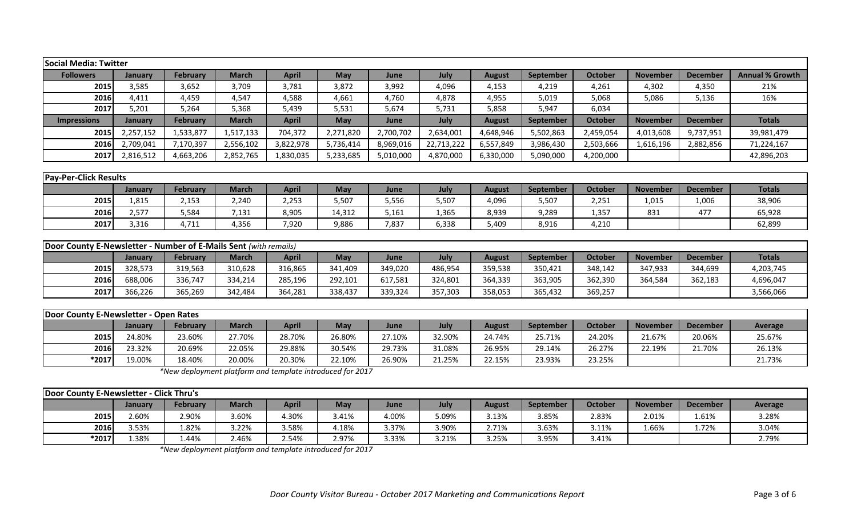| <b>Social Media: Twitter</b>                                            |                |                 |              |              |            |           |            |               |           |                |                 |                 |                        |
|-------------------------------------------------------------------------|----------------|-----------------|--------------|--------------|------------|-----------|------------|---------------|-----------|----------------|-----------------|-----------------|------------------------|
| <b>Followers</b>                                                        | <b>January</b> | <b>February</b> | <b>March</b> | <b>April</b> | May        | June      | July       | <b>August</b> | September | <b>October</b> | <b>November</b> | <b>December</b> | <b>Annual % Growth</b> |
| 2015                                                                    | 3,585          | 3,652           | 3,709        | 3,781        | 3,872      | 3,992     | 4,096      | 4,153         | 4,219     | 4,261          | 4,302           | 4,350           | 21%                    |
| 2016                                                                    | 4,411          | 4,459           | 4,547        | 4,588        | 4,661      | 4,760     | 4,878      | 4,955         | 5,019     | 5,068          | 5,086           | 5,136           | 16%                    |
| 2017                                                                    | 5,201          | 5,264           | 5,368        | 5,439        | 5,531      | 5,674     | 5,731      | 5,858         | 5,947     | 6,034          |                 |                 |                        |
| <b>Impressions</b>                                                      | January        | <b>February</b> | <b>March</b> | <b>April</b> | <b>May</b> | June      | July       | <b>August</b> | September | <b>October</b> | <b>November</b> | <b>December</b> | <b>Totals</b>          |
| 2015                                                                    | 2,257,152      | 1,533,877       | 1,517,133    | 704,372      | 2,271,820  | 2,700,702 | 2,634,001  | 4,648,946     | 5,502,863 | 2,459,054      | 4,013,608       | 9,737,951       | 39,981,479             |
| 2016                                                                    | 2,709,041      | 7,170,397       | 2,556,102    | 3,822,978    | 5,736,414  | 8,969,016 | 22,713,222 | 6,557,849     | 3,986,430 | 2,503,666      | 1,616,196       | 2,882,856       | 71,224,167             |
| 2017                                                                    | 2,816,512      | 4,663,206       | 2,852,765    | 1,830,035    | 5,233,685  | 5,010,000 | 4,870,000  | 6,330,000     | 5,090,000 | 4,200,000      |                 |                 | 42,896,203             |
|                                                                         |                |                 |              |              |            |           |            |               |           |                |                 |                 |                        |
| <b>Pay-Per-Click Results</b>                                            |                |                 |              |              |            |           |            |               |           |                |                 |                 |                        |
|                                                                         | January        | <b>February</b> | <b>March</b> | <b>April</b> | May        | June      | July       | <b>August</b> | September | <b>October</b> | <b>November</b> | <b>December</b> | <b>Totals</b>          |
| 2015                                                                    | 1,815          | 2,153           | 2,240        | 2,253        | 5,507      | 5,556     | 5,507      | 4,096         | 5,507     | 2,251          | 1,015           | 1,006           | 38,906                 |
| 2016                                                                    | 2,577          | 5,584           | 7,131        | 8,905        | 14,312     | 5,161     | 1,365      | 8,939         | 9,289     | 1,357          | 831             | 477             | 65,928                 |
| 2017                                                                    | 3,316          | 4,711           | 4,356        | 7,920        | 9,886      | 7,837     | 6,338      | 5,409         | 8,916     | 4,210          |                 |                 | 62,899                 |
|                                                                         |                |                 |              |              |            |           |            |               |           |                |                 |                 |                        |
| <b>Door County E-Newsletter - Number of E-Mails Sent (with remails)</b> |                |                 |              |              |            |           |            |               |           |                |                 |                 |                        |
|                                                                         | January        | <b>February</b> | <b>March</b> | <b>April</b> | May        | June      | July       | <b>August</b> | September | <b>October</b> | <b>November</b> | <b>December</b> | <b>Totals</b>          |
| 2015                                                                    | 328,573        | 319,563         | 310,628      | 316,865      | 341,409    | 349,020   | 486,954    | 359,538       | 350,421   | 348,142        | 347,933         | 344,699         | 4,203,745              |
| 2016                                                                    | 688,006        | 336,747         | 334,214      | 285,196      | 292,101    | 617,581   | 324,801    | 364,339       | 363,905   | 362,390        | 364,584         | 362,183         | 4,696,047              |
| 2017                                                                    | 366,226        | 365,269         | 342,484      | 364,281      | 338,437    | 339,324   | 357,303    | 358,053       | 365,432   | 369,257        |                 |                 | 3,566,066              |
|                                                                         |                |                 |              |              |            |           |            |               |           |                |                 |                 |                        |
| Door County E-Newsletter - Open Rates                                   |                |                 |              |              |            |           |            |               |           |                |                 |                 |                        |
|                                                                         | January        | <b>February</b> | <b>March</b> | <b>April</b> | May        | June      | July       | <b>August</b> | September | <b>October</b> | <b>November</b> | <b>December</b> | Average                |
| 2015                                                                    | 24.80%         | 23.60%          | 27.70%       | 28.70%       | 26.80%     | 27.10%    | 32.90%     | 24.74%        | 25.71%    | 24.20%         | 21.67%          | 20.06%          | 25.67%                 |

*\*New deployment platform and template introduced for 2017*

| Door County E-Newsletter - Click Thru's |                |                 |              |              |            |       |       |        |                  |         |                 |                 |         |
|-----------------------------------------|----------------|-----------------|--------------|--------------|------------|-------|-------|--------|------------------|---------|-----------------|-----------------|---------|
|                                         | <b>January</b> | <b>February</b> | <b>March</b> | <b>April</b> | <b>May</b> | June  | July  | August | <b>September</b> | October | <b>November</b> | <b>December</b> | Average |
| 2015                                    | 2.60%          | 2.90%           | 8.60%        | 1.30%        | 3.41%      | 4.00% | 09%.د | 3.13%  | 3.85%            | 2.83%   | 2.01%           | 1.61%           | 3.28%   |
| 2016                                    | 3.53%          | .82%            | 3.22%        | 3.58%        | 1.18%      | 3.37% | 3.90% | 2.71%  | 3.63%            | 3.11%   | 1.66%           | 1.72%           | 3.04%   |
| $*2017$                                 | .38%           | 1.44%           | 2.46%        | 2.54%        | 2.97%      | 3.33% | 3.21% | 3.25%  | 3.95%            | 3.41%   |                 |                 | 2.79%   |

**2016** 23.32% 20.69% 22.05% 29.88% 30.54% 29.73% 31.08% 26.95% 29.14% 26.27% 22.19% 21.70% 26.13% **\*2017** 19.00% 18.40% 20.00% 20.30% 22.10% 26.90% 21.25% 22.15% 23.93% 23.25% 21.73%

*\*New deployment platform and template introduced for 2017*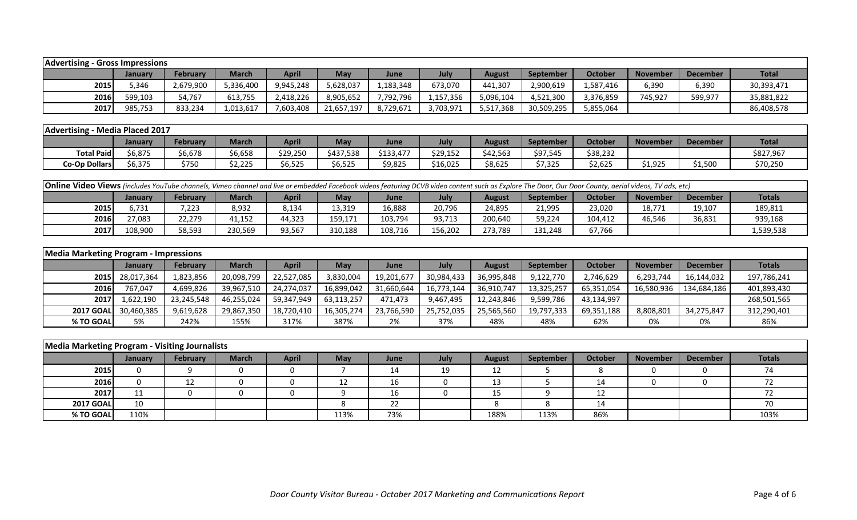| <b>Advertising - Gross Impressions</b> |         |           |              |              |            |             |           |           |            |           |                 |                 |              |
|----------------------------------------|---------|-----------|--------------|--------------|------------|-------------|-----------|-----------|------------|-----------|-----------------|-----------------|--------------|
|                                        | Januarv | February  | <b>March</b> | <b>April</b> | <b>May</b> | <b>June</b> | July      | August    | September  | October   | <b>November</b> | <b>December</b> | <b>Total</b> |
| 2015                                   | 5.346   | 2,679,900 | 5,336,400    | 9,945,248    | 5,628,037  | 1,183,348   | 673,070   | 441,307   | 2,900,619  | 1,587,416 | 6,390           | 6,390           | 30,393,471   |
| 2016                                   | 599,103 | 54,767    | 613,755      | 2,418,226    | 8,905,652  | 7,792,796   | 1,157,356 | 5,096,104 | 4,521,300  | 3,376,859 | 745,927         | 599,977         | 35,881,822   |
| 2017                                   | 985,753 | 833,234   | 1,013,617    | 7,603,408    | 21,657,197 | 8,729,671   | 3,703,971 | 5,517,368 | 30,509,295 | 5,855,064 |                 |                 | 86,408,578   |

| Advertising - Media Placed 2017 |         |          |                    |          |            |           |          |          |           |          |                 |                 |              |
|---------------------------------|---------|----------|--------------------|----------|------------|-----------|----------|----------|-----------|----------|-----------------|-----------------|--------------|
|                                 | January | February | <b>March</b>       | April    | <b>May</b> | June      | July     | August   | September | October  | <b>November</b> | <b>December</b> | <b>Total</b> |
| <b>Total Paid</b>               | \$6,875 | \$6,678  | \$6,658            | \$29,250 | \$437,538  | \$133,477 | \$29,152 | \$42,563 | \$97,545  | \$38,232 |                 |                 | \$827,967    |
| Co-Op Dollars                   | \$6,375 | \$750    | חרר ר<br>ل عمر ع ب | \$6,525  | \$6,525    | \$9,825   | \$16,025 | \$8,625  | \$7,325   | \$2,625  | \$1,925         | \$1,500         | \$70,250     |

|      | <b>Online Video Views</b> (includes YouTube channels, Vimeo channel and live or embedded Facebook videos featuring DCVB video content such as Explore The Door, Our Door County, aerial videos, TV ads, etc) |        |         |        |         |         |         |         |         |         |        |        |           |  |
|------|--------------------------------------------------------------------------------------------------------------------------------------------------------------------------------------------------------------|--------|---------|--------|---------|---------|---------|---------|---------|---------|--------|--------|-----------|--|
|      | April<br><b>Totals</b><br>October<br><b>February</b><br>May<br>September<br><b>March</b><br>July<br><b>November</b><br><b>December</b><br><b>June</b><br>August<br>Januarv                                   |        |         |        |         |         |         |         |         |         |        |        |           |  |
| 2015 | 731,د                                                                                                                                                                                                        | 7,223  | 8,932   | 8,134  | 13,319  | 16,888  | 20,796  | 24,895  | 21,995  | 23,020  | 18,771 | 19,107 | 189,811   |  |
| 2016 | 27,083                                                                                                                                                                                                       | 22,279 | 41,152  | 44,323 | 159,171 | 103,794 | 93,713  | 200,640 | 59,224  | 104,412 | 46,546 | 36,831 | 939,168   |  |
| 2017 | 108,900                                                                                                                                                                                                      | 58,593 | 230,569 | 93,567 | 310,188 | 108,716 | 156,202 | 273,789 | 131,248 | 67,766  |        |        | 1,539,538 |  |

| Media Marketing Program - Impressions |                 |            |              |              |            |            |            |               |                  |            |                 |                 |               |
|---------------------------------------|-----------------|------------|--------------|--------------|------------|------------|------------|---------------|------------------|------------|-----------------|-----------------|---------------|
|                                       | January         | February   | <b>March</b> | <b>April</b> | May        | June       | July       | <b>August</b> | <b>September</b> | October    | <b>November</b> | <b>December</b> | <b>Totals</b> |
|                                       | 2015 28,017,364 | 1,823,856  | 20,098,799   | 22,527,085   | 3,830,004  | 19,201,677 | 30,984,433 | 36,995,848    | 9,122,770        | 2,746,629  | 6,293,744       | 16,144,032      | 197,786,241   |
| 2016                                  | 767.047         | 4,699,826  | 39,967,510   | 24,274,037   | 16,899,042 | 31,660,644 | 16,773,144 | 36,910,747    | 13,325,257       | 65,351,054 | 16,580,936      | 134,684,186     | 401,893,430   |
| 20171                                 | 1,622,190       | 23,245,548 | 46,255,024   | 59,347,949   | 63,113,257 | 471,473    | 9,467,495  | 12,243,846    | 9,599,786        | 43,134,997 |                 |                 | 268,501,565   |
| 2017 GOALL                            | 30.460.385      | 9,619,628  | 29,867,350   | 18,720,410   | 16,305,274 | 23,766,590 | 25,752,035 | 25,565,560    | 19,797,333       | 69,351,188 | 8,808,801       | 34,275,847      | 312,290,401   |
| % TO GOAL                             | 5%              | 242%       | 155%         | 317%         | 387%       | 2%         | 37%        | 48%           | 48%              | 62%        | 0%              | 0%              | 86%           |

| Media Marketing Program - Visiting Journalists |                |          |              |              |            |      |      |               |           |         |                 |                 |               |
|------------------------------------------------|----------------|----------|--------------|--------------|------------|------|------|---------------|-----------|---------|-----------------|-----------------|---------------|
|                                                | <b>January</b> | February | <b>March</b> | <b>April</b> | <b>May</b> | June | July | <b>August</b> | September | October | <b>November</b> | <b>December</b> | <b>Totals</b> |
| 2015                                           |                |          |              |              |            | 14   | 19   | 12            |           |         |                 |                 |               |
| 2016                                           |                | ᅩ        |              |              |            | 16   |      | 13            |           | 14      |                 |                 |               |
| 2017                                           | ᆠᆂ             |          |              |              |            | 16   |      | 15            |           |         |                 |                 |               |
| <b>2017 GOAL</b>                               | 10             |          |              |              |            | 22   |      |               |           | 14      |                 |                 | $\neg$        |
| % TO GOAL                                      | 110%           |          |              |              | 113%       | 73%  |      | 188%          | 113%      | 86%     |                 |                 | 103%          |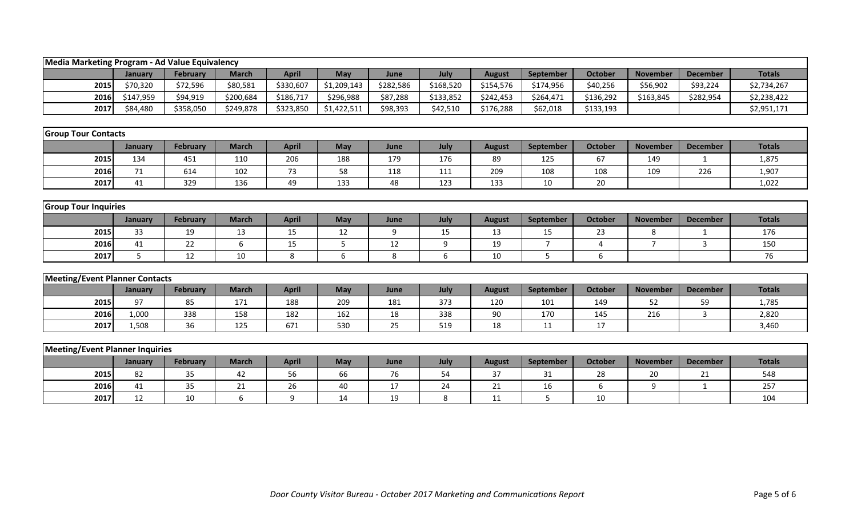| Media Marketing Program - Ad Value Equivalency |           |                 |              |              |             |           |           |               |                |                |                 |                 |               |
|------------------------------------------------|-----------|-----------------|--------------|--------------|-------------|-----------|-----------|---------------|----------------|----------------|-----------------|-----------------|---------------|
|                                                | January   | <b>February</b> | <b>March</b> | <b>April</b> | May         | June      | July      | <b>August</b> | September      | <b>October</b> | <b>November</b> | <b>December</b> | <b>Totals</b> |
| 2015                                           | \$70,320  | \$72,596        | \$80,581     | \$330,607    | \$1,209,143 | \$282,586 | \$168,520 | \$154,576     | \$174,956      | \$40,256       | \$56,902        | \$93,224        | \$2,734,267   |
| 2016                                           | \$147,959 | \$94,919        | \$200,684    | \$186,717    | \$296,988   | \$87,288  | \$133,852 | \$242,453     | \$264,471      | \$136,292      | \$163,845       | \$282,954       | \$2,238,422   |
| 2017                                           | \$84,480  | \$358,050       | \$249,878    | \$323,850    | \$1,422,511 | \$98,393  | \$42,510  | \$176,288     | \$62,018       | \$133,193      |                 |                 | \$2,951,171   |
|                                                |           |                 |              |              |             |           |           |               |                |                |                 |                 |               |
| <b>Group Tour Contacts</b>                     |           |                 |              |              |             |           |           |               |                |                |                 |                 |               |
|                                                | January   | <b>February</b> | <b>March</b> | <b>April</b> | May         | June      | July      | <b>August</b> | September      | <b>October</b> | <b>November</b> | <b>December</b> | <b>Totals</b> |
| 2015                                           | 134       | 451             | 110          | 206          | 188         | 179       | 176       | 89            | 125            | 67             | 149             | $\mathbf{1}$    | 1,875         |
| 2016                                           | 71        | 614             | 102          | 73           | 58          | 118       | 111       | 209           | 108            | 108            | 109             | 226             | 1,907         |
| 2017                                           | 41        | 329             | 136          | 49           | 133         | 48        | 123       | 133           | 10             | 20             |                 |                 | 1,022         |
|                                                |           |                 |              |              |             |           |           |               |                |                |                 |                 |               |
| <b>Group Tour Inquiries</b>                    |           |                 |              |              |             |           |           |               |                |                |                 |                 |               |
|                                                | January   | <b>February</b> | <b>March</b> | <b>April</b> | May         | June      | July      | <b>August</b> | September      | <b>October</b> | <b>November</b> | <b>December</b> | <b>Totals</b> |
| 2015                                           | 33        | 19              | 13           | 15           | 12          | 9         | 15        | 13            | 15             | 23             | 8               | -1              | 176           |
| 2016                                           | 41        | 22              | 6            | 15           | 5           | 12        | 9         | 19            | $\overline{7}$ | $\overline{4}$ | $\overline{7}$  | $\overline{3}$  | 150           |
| 2017                                           | 5         | 12              | 10           | 8            | 6           | 8         | 6         | 10            | 5              | 6              |                 |                 | 76            |
|                                                |           |                 |              |              |             |           |           |               |                |                |                 |                 |               |
| <b>Meeting/Event Planner Contacts</b>          |           |                 |              |              |             |           |           |               |                |                |                 |                 |               |
|                                                | January   | <b>February</b> | <b>March</b> | <b>April</b> | May         | June      | July      | <b>August</b> | September      | <b>October</b> | <b>November</b> | <b>December</b> | <b>Totals</b> |
| 2015                                           | 97        | 85              | 171          | 188          | 209         | 181       | 373       | 120           | 101            | 149            | 52              | 59              | 1,785         |
| 2016                                           | 1,000     | 338             | 158          | 182          | 162         | 18        | 338       | 90            | 170            | 145            | 216             | 3               | 2,820         |
| 2017                                           | 1,508     | 36              | 125          | 671          | 530         | 25        | 519       | 18            | 11             | 17             |                 |                 | 3,460         |
|                                                |           |                 |              |              |             |           |           |               |                |                |                 |                 |               |
| <b>Meeting/Event Planner Inquiries</b>         |           |                 |              |              |             |           |           |               |                |                |                 |                 |               |
|                                                | January   | <b>February</b> | <b>March</b> | <b>April</b> | May         | June      | July      | <b>August</b> | September      | <b>October</b> | <b>November</b> | <b>December</b> | <b>Totals</b> |
| 2015                                           | 82        | 35              | 42           | 56           | 66          | 76        | 54        | 37            | 31             | 28             | 20              | 21              | 548           |
| 2016                                           | 41        | 35              | 21           | 26           | 40          | 17        | 24        | 21            | 16             | 6              | 9               | $\mathbf{1}$    | 257           |
| 2017                                           | 12        | 10              | 6            | 9            | 14          | 19        | 8         | 11            | 5              | 10             |                 |                 | 104           |